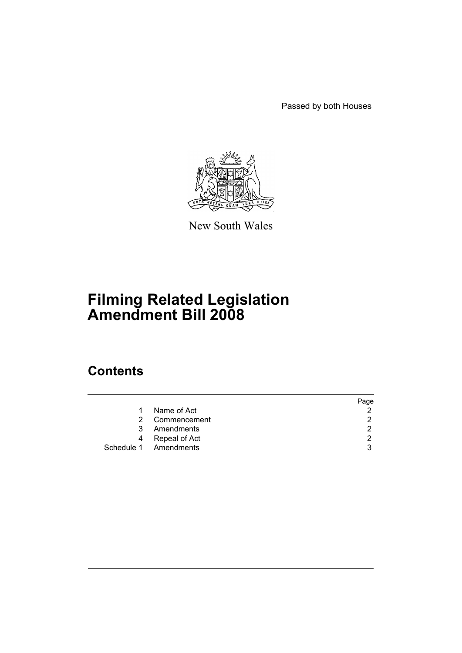Passed by both Houses



New South Wales

# **Filming Related Legislation Amendment Bill 2008**

# **Contents**

|   |                       | Page |
|---|-----------------------|------|
| 1 | Name of Act           | າ    |
|   | 2 Commencement        | າ    |
|   | 3 Amendments          | ົ    |
|   | 4 Repeal of Act       | ົ    |
|   | Schedule 1 Amendments | 3    |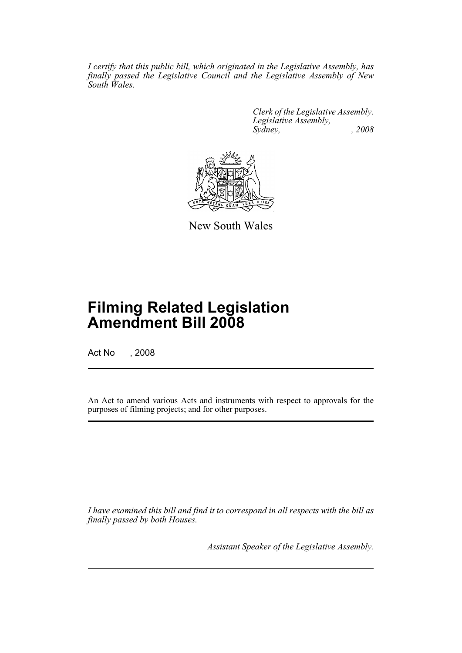*I certify that this public bill, which originated in the Legislative Assembly, has finally passed the Legislative Council and the Legislative Assembly of New South Wales.*

> *Clerk of the Legislative Assembly. Legislative Assembly, Sydney, , 2008*



New South Wales

# **Filming Related Legislation Amendment Bill 2008**

Act No , 2008

An Act to amend various Acts and instruments with respect to approvals for the purposes of filming projects; and for other purposes.

*I have examined this bill and find it to correspond in all respects with the bill as finally passed by both Houses.*

*Assistant Speaker of the Legislative Assembly.*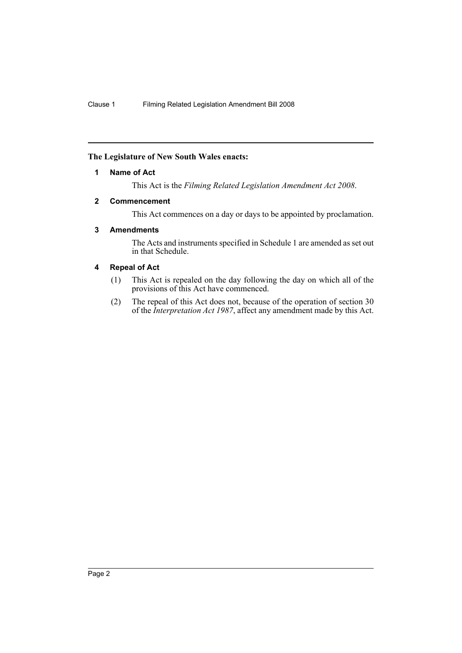## <span id="page-2-0"></span>**The Legislature of New South Wales enacts:**

#### **1 Name of Act**

This Act is the *Filming Related Legislation Amendment Act 2008*.

#### <span id="page-2-1"></span>**2 Commencement**

This Act commences on a day or days to be appointed by proclamation.

## <span id="page-2-2"></span>**3 Amendments**

The Acts and instruments specified in Schedule 1 are amended as set out in that Schedule.

## <span id="page-2-3"></span>**4 Repeal of Act**

- (1) This Act is repealed on the day following the day on which all of the provisions of this Act have commenced.
- (2) The repeal of this Act does not, because of the operation of section 30 of the *Interpretation Act 1987*, affect any amendment made by this Act.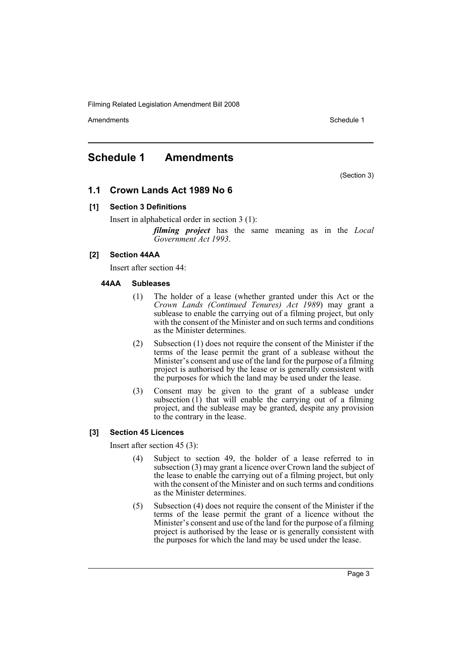Amendments **Amendments** Schedule 1

# <span id="page-3-0"></span>**Schedule 1 Amendments**

(Section 3)

# **1.1 Crown Lands Act 1989 No 6**

## **[1] Section 3 Definitions**

Insert in alphabetical order in section 3 (1):

*filming project* has the same meaning as in the *Local Government Act 1993*.

## **[2] Section 44AA**

Insert after section 44:

#### **44AA Subleases**

- (1) The holder of a lease (whether granted under this Act or the *Crown Lands (Continued Tenures) Act 1989*) may grant a sublease to enable the carrying out of a filming project, but only with the consent of the Minister and on such terms and conditions as the Minister determines.
- (2) Subsection (1) does not require the consent of the Minister if the terms of the lease permit the grant of a sublease without the Minister's consent and use of the land for the purpose of a filming project is authorised by the lease or is generally consistent with the purposes for which the land may be used under the lease.
- (3) Consent may be given to the grant of a sublease under subsection  $(1)$  that will enable the carrying out of a filming project, and the sublease may be granted, despite any provision to the contrary in the lease.

## **[3] Section 45 Licences**

Insert after section 45 (3):

- (4) Subject to section 49, the holder of a lease referred to in subsection (3) may grant a licence over Crown land the subject of the lease to enable the carrying out of a filming project, but only with the consent of the Minister and on such terms and conditions as the Minister determines.
- (5) Subsection (4) does not require the consent of the Minister if the terms of the lease permit the grant of a licence without the Minister's consent and use of the land for the purpose of a filming project is authorised by the lease or is generally consistent with the purposes for which the land may be used under the lease.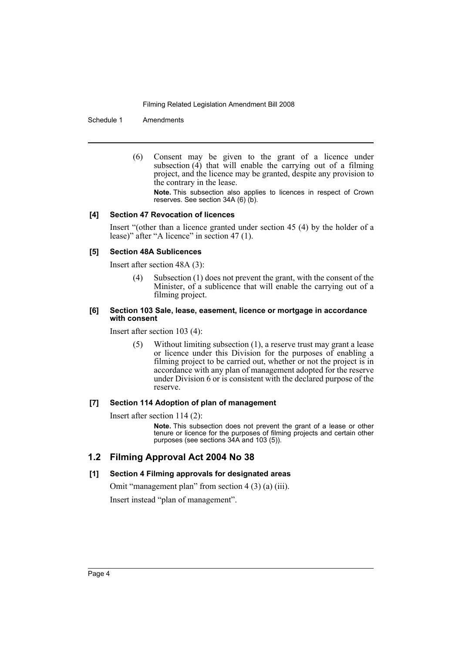Schedule 1 Amendments

(6) Consent may be given to the grant of a licence under subsection (4) that will enable the carrying out of a filming project, and the licence may be granted, despite any provision to the contrary in the lease.

**Note.** This subsection also applies to licences in respect of Crown reserves. See section  $34A(6)(b)$ .

#### **[4] Section 47 Revocation of licences**

Insert "(other than a licence granted under section 45 (4) by the holder of a lease)" after "A licence" in section 47 (1).

#### **[5] Section 48A Sublicences**

Insert after section 48A (3):

(4) Subsection (1) does not prevent the grant, with the consent of the Minister, of a sublicence that will enable the carrying out of a filming project.

#### **[6] Section 103 Sale, lease, easement, licence or mortgage in accordance with consent**

Insert after section 103 (4):

(5) Without limiting subsection (1), a reserve trust may grant a lease or licence under this Division for the purposes of enabling a filming project to be carried out, whether or not the project is in accordance with any plan of management adopted for the reserve under Division 6 or is consistent with the declared purpose of the reserve.

## **[7] Section 114 Adoption of plan of management**

Insert after section 114 (2):

**Note.** This subsection does not prevent the grant of a lease or other tenure or licence for the purposes of filming projects and certain other purposes (see sections 34A and 103 (5)).

## **1.2 Filming Approval Act 2004 No 38**

#### **[1] Section 4 Filming approvals for designated areas**

Omit "management plan" from section 4 (3) (a) (iii).

Insert instead "plan of management".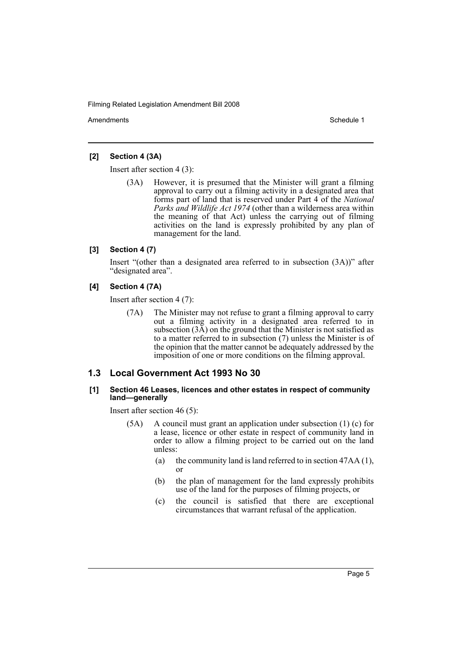Amendments **Amendments** Schedule 1

#### **[2] Section 4 (3A)**

Insert after section 4 (3):

(3A) However, it is presumed that the Minister will grant a filming approval to carry out a filming activity in a designated area that forms part of land that is reserved under Part 4 of the *National Parks and Wildlife Act 1974* (other than a wilderness area within the meaning of that Act) unless the carrying out of filming activities on the land is expressly prohibited by any plan of management for the land.

#### **[3] Section 4 (7)**

Insert "(other than a designated area referred to in subsection (3A))" after "designated area".

#### **[4] Section 4 (7A)**

Insert after section 4 (7):

(7A) The Minister may not refuse to grant a filming approval to carry out a filming activity in a designated area referred to in subsection  $(3\overline{A})$  on the ground that the Minister is not satisfied as to a matter referred to in subsection (7) unless the Minister is of the opinion that the matter cannot be adequately addressed by the imposition of one or more conditions on the filming approval.

# **1.3 Local Government Act 1993 No 30**

#### **[1] Section 46 Leases, licences and other estates in respect of community land—generally**

Insert after section 46 (5):

- (5A) A council must grant an application under subsection (1) (c) for a lease, licence or other estate in respect of community land in order to allow a filming project to be carried out on the land unless:
	- (a) the community land is land referred to in section 47AA (1), or
	- (b) the plan of management for the land expressly prohibits use of the land for the purposes of filming projects, or
	- (c) the council is satisfied that there are exceptional circumstances that warrant refusal of the application.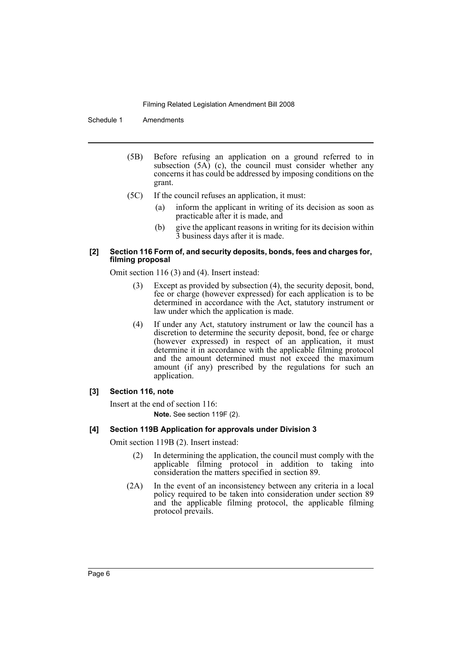Schedule 1 Amendments

- (5B) Before refusing an application on a ground referred to in subsection  $(5A)$  (c), the council must consider whether any concerns it has could be addressed by imposing conditions on the grant.
- (5C) If the council refuses an application, it must:
	- (a) inform the applicant in writing of its decision as soon as practicable after it is made, and
	- (b) give the applicant reasons in writing for its decision within 3 business days after it is made.

#### **[2] Section 116 Form of, and security deposits, bonds, fees and charges for, filming proposal**

Omit section 116 (3) and (4). Insert instead:

- (3) Except as provided by subsection (4), the security deposit, bond, fee or charge (however expressed) for each application is to be determined in accordance with the Act, statutory instrument or law under which the application is made.
- (4) If under any Act, statutory instrument or law the council has a discretion to determine the security deposit, bond, fee or charge (however expressed) in respect of an application, it must determine it in accordance with the applicable filming protocol and the amount determined must not exceed the maximum amount (if any) prescribed by the regulations for such an application.

## **[3] Section 116, note**

Insert at the end of section 116: **Note.** See section 119F (2).

## **[4] Section 119B Application for approvals under Division 3**

Omit section 119B (2). Insert instead:

- (2) In determining the application, the council must comply with the applicable filming protocol in addition to taking into consideration the matters specified in section 89.
- (2A) In the event of an inconsistency between any criteria in a local policy required to be taken into consideration under section 89 and the applicable filming protocol, the applicable filming protocol prevails.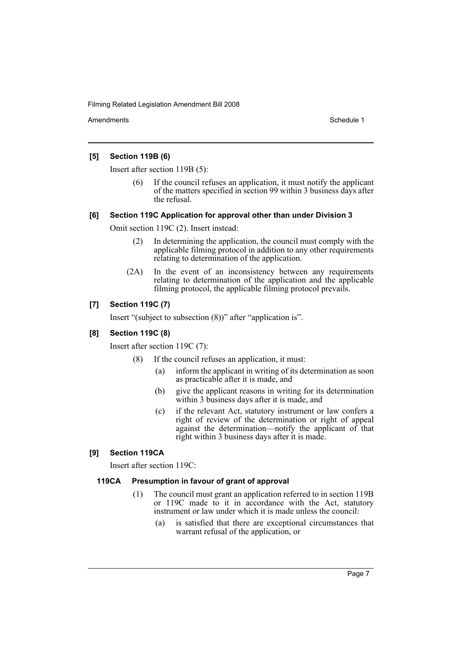Amendments **Amendments** Schedule 1

#### **[5] Section 119B (6)**

Insert after section 119B (5):

If the council refuses an application, it must notify the applicant of the matters specified in section 99 within 3 business days after the refusal.

#### **[6] Section 119C Application for approval other than under Division 3**

Omit section 119C (2). Insert instead:

- (2) In determining the application, the council must comply with the applicable filming protocol in addition to any other requirements relating to determination of the application.
- (2A) In the event of an inconsistency between any requirements relating to determination of the application and the applicable filming protocol, the applicable filming protocol prevails.

## **[7] Section 119C (7)**

Insert "(subject to subsection (8))" after "application is".

#### **[8] Section 119C (8)**

Insert after section 119C (7):

- (8) If the council refuses an application, it must:
	- (a) inform the applicant in writing of its determination as soon as practicable after it is made, and
	- (b) give the applicant reasons in writing for its determination within 3 business days after it is made, and
	- (c) if the relevant Act, statutory instrument or law confers a right of review of the determination or right of appeal against the determination—notify the applicant of that right within 3 business days after it is made.

## **[9] Section 119CA**

Insert after section 119C:

#### **119CA Presumption in favour of grant of approval**

- (1) The council must grant an application referred to in section 119B or 119C made to it in accordance with the Act, statutory instrument or law under which it is made unless the council:
	- (a) is satisfied that there are exceptional circumstances that warrant refusal of the application, or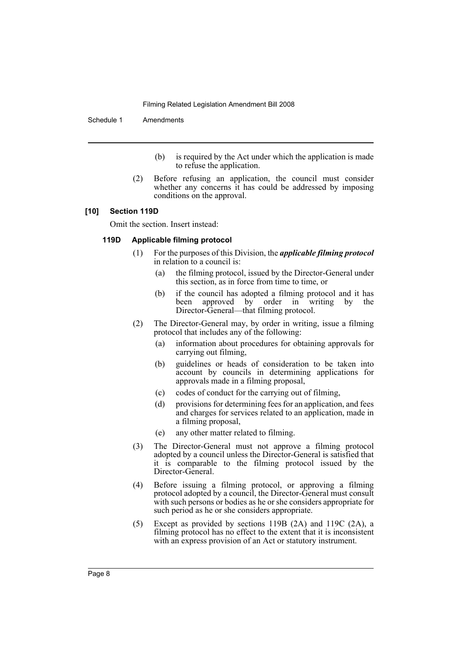Schedule 1 Amendments

- (b) is required by the Act under which the application is made to refuse the application.
- (2) Before refusing an application, the council must consider whether any concerns it has could be addressed by imposing conditions on the approval.

#### **[10] Section 119D**

Omit the section. Insert instead:

#### **119D Applicable filming protocol**

- (1) For the purposes of this Division, the *applicable filming protocol* in relation to a council is:
	- (a) the filming protocol, issued by the Director-General under this section, as in force from time to time, or
	- (b) if the council has adopted a filming protocol and it has<br>been approved by order in writing by the approved by order in writing by the Director-General—that filming protocol.
- (2) The Director-General may, by order in writing, issue a filming protocol that includes any of the following:
	- (a) information about procedures for obtaining approvals for carrying out filming,
	- (b) guidelines or heads of consideration to be taken into account by councils in determining applications for approvals made in a filming proposal,
	- (c) codes of conduct for the carrying out of filming,
	- (d) provisions for determining fees for an application, and fees and charges for services related to an application, made in a filming proposal,
	- (e) any other matter related to filming.
- (3) The Director-General must not approve a filming protocol adopted by a council unless the Director-General is satisfied that it is comparable to the filming protocol issued by the Director-General.
- (4) Before issuing a filming protocol, or approving a filming protocol adopted by a council, the Director-General must consult with such persons or bodies as he or she considers appropriate for such period as he or she considers appropriate.
- (5) Except as provided by sections 119B (2A) and 119C (2A), a filming protocol has no effect to the extent that it is inconsistent with an express provision of an Act or statutory instrument.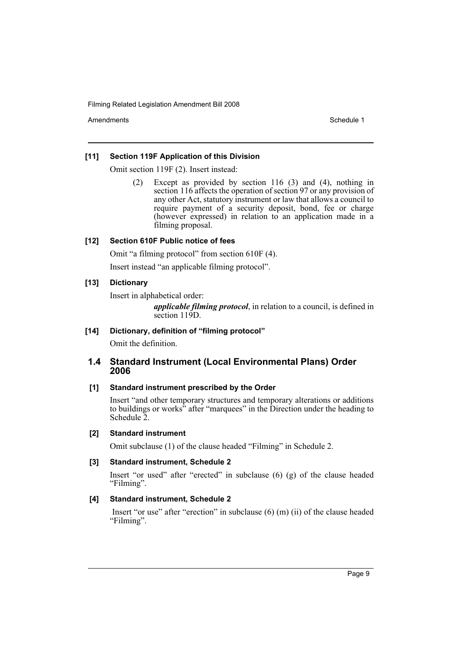Amendments **Schedule 1** and the set of the set of the set of the set of the set of the set of the set of the set of the set of the set of the set of the set of the set of the set of the set of the set of the set of the set

## **[11] Section 119F Application of this Division**

Omit section 119F (2). Insert instead:

(2) Except as provided by section 116 (3) and (4), nothing in section 116 affects the operation of section 97 or any provision of any other Act, statutory instrument or law that allows a council to require payment of a security deposit, bond, fee or charge (however expressed) in relation to an application made in a filming proposal.

## **[12] Section 610F Public notice of fees**

Omit "a filming protocol" from section 610F (4).

Insert instead "an applicable filming protocol".

## **[13] Dictionary**

Insert in alphabetical order:

*applicable filming protocol*, in relation to a council, is defined in section 119D.

**[14] Dictionary, definition of "filming protocol"**

Omit the definition.

# **1.4 Standard Instrument (Local Environmental Plans) Order 2006**

## **[1] Standard instrument prescribed by the Order**

Insert "and other temporary structures and temporary alterations or additions to buildings or works" after "marquees" in the Direction under the heading to Schedule 2.

# **[2] Standard instrument**

Omit subclause (1) of the clause headed "Filming" in Schedule 2.

# **[3] Standard instrument, Schedule 2**

Insert "or used" after "erected" in subclause (6) (g) of the clause headed "Filming".

# **[4] Standard instrument, Schedule 2**

 Insert "or use" after "erection" in subclause (6) (m) (ii) of the clause headed "Filming".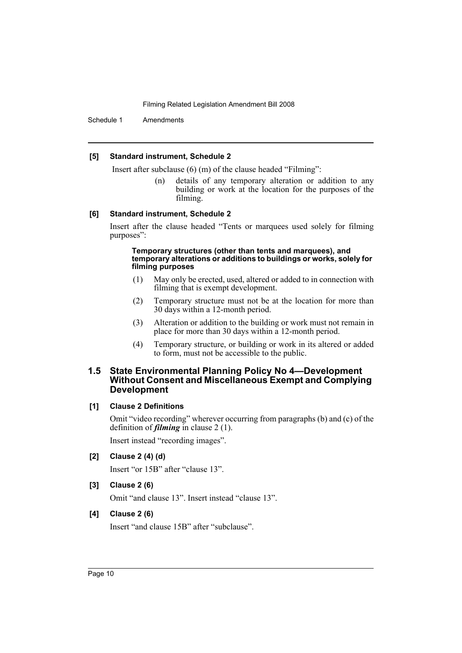Schedule 1 Amendments

#### **[5] Standard instrument, Schedule 2**

Insert after subclause (6) (m) of the clause headed "Filming":

(n) details of any temporary alteration or addition to any building or work at the location for the purposes of the filming.

#### **[6] Standard instrument, Schedule 2**

Insert after the clause headed "Tents or marquees used solely for filming purposes":

#### **Temporary structures (other than tents and marquees), and temporary alterations or additions to buildings or works, solely for filming purposes**

- (1) May only be erected, used, altered or added to in connection with filming that is exempt development.
- (2) Temporary structure must not be at the location for more than 30 days within a 12-month period.
- (3) Alteration or addition to the building or work must not remain in place for more than 30 days within a 12-month period.
- (4) Temporary structure, or building or work in its altered or added to form, must not be accessible to the public.

## **1.5 State Environmental Planning Policy No 4—Development Without Consent and Miscellaneous Exempt and Complying Development**

#### **[1] Clause 2 Definitions**

Omit "video recording" wherever occurring from paragraphs (b) and (c) of the definition of *filming* in clause 2 (1).

Insert instead "recording images".

**[2] Clause 2 (4) (d)**

Insert "or 15B" after "clause 13".

**[3] Clause 2 (6)**

Omit "and clause 13". Insert instead "clause 13".

#### **[4] Clause 2 (6)**

Insert "and clause 15B" after "subclause".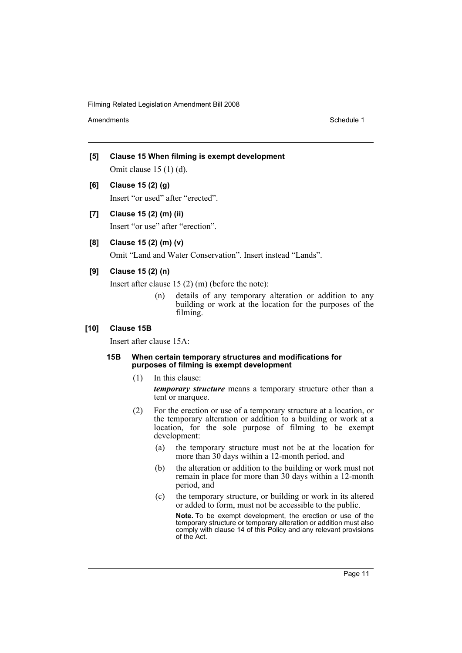Amendments **Amendments** Schedule 1

- **[5] Clause 15 When filming is exempt development** Omit clause 15 (1) (d).
- **[6] Clause 15 (2) (g)**

Insert "or used" after "erected".

**[7] Clause 15 (2) (m) (ii)**

Insert "or use" after "erection".

**[8] Clause 15 (2) (m) (v)**

Omit "Land and Water Conservation". Insert instead "Lands".

## **[9] Clause 15 (2) (n)**

Insert after clause 15 (2) (m) (before the note):

(n) details of any temporary alteration or addition to any building or work at the location for the purposes of the filming.

#### **[10] Clause 15B**

Insert after clause 15A:

#### **15B When certain temporary structures and modifications for purposes of filming is exempt development**

(1) In this clause:

*temporary structure* means a temporary structure other than a tent or marquee.

- (2) For the erection or use of a temporary structure at a location, or the temporary alteration or addition to a building or work at a location, for the sole purpose of filming to be exempt development:
	- (a) the temporary structure must not be at the location for more than 30 days within a 12-month period, and
	- (b) the alteration or addition to the building or work must not remain in place for more than 30 days within a 12-month period, and
	- (c) the temporary structure, or building or work in its altered or added to form, must not be accessible to the public.

**Note.** To be exempt development, the erection or use of the temporary structure or temporary alteration or addition must also comply with clause 14 of this Policy and any relevant provisions of the Act.